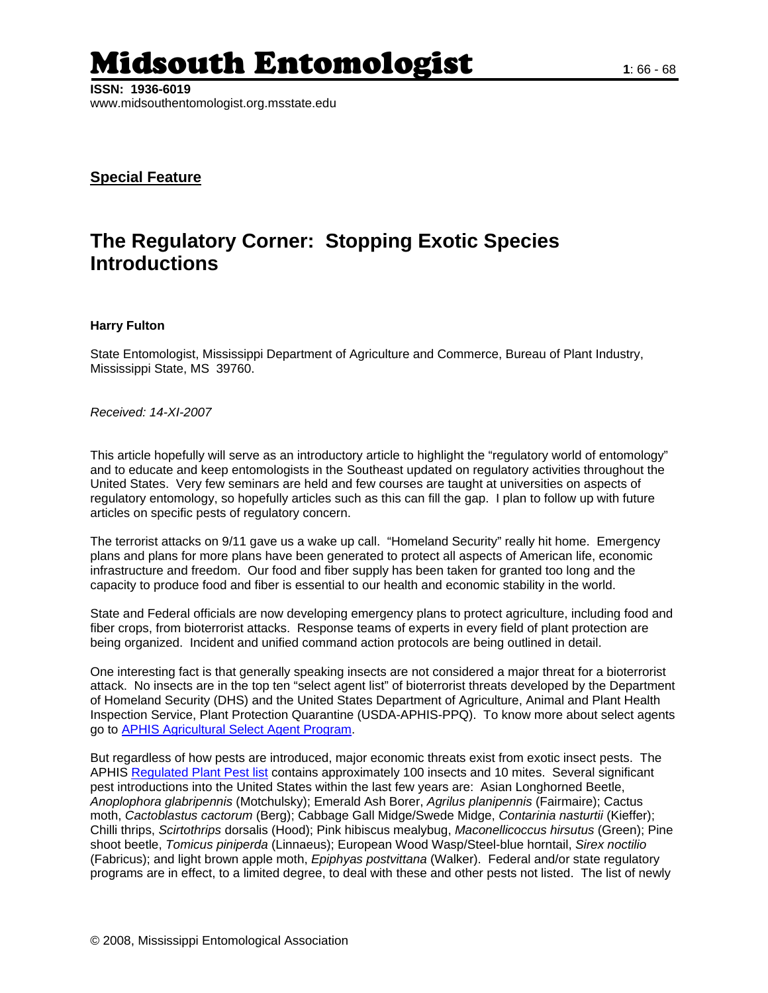## Midsouth Entomologist **1**: 66 - 68

## **Special Feature**

## **The Regulatory Corner: Stopping Exotic Species Introductions**

## **Harry Fulton**

State Entomologist, Mississippi Department of Agriculture and Commerce, Bureau of Plant Industry, Mississippi State, MS 39760.

*Received: 14-XI-2007*

This article hopefully will serve as an introductory article to highlight the "regulatory world of entomology" and to educate and keep entomologists in the Southeast updated on regulatory activities throughout the United States. Very few seminars are held and few courses are taught at universities on aspects of regulatory entomology, so hopefully articles such as this can fill the gap. I plan to follow up with future articles on specific pests of regulatory concern.

The terrorist attacks on 9/11 gave us a wake up call. "Homeland Security" really hit home. Emergency plans and plans for more plans have been generated to protect all aspects of American life, economic infrastructure and freedom. Our food and fiber supply has been taken for granted too long and the capacity to produce food and fiber is essential to our health and economic stability in the world.

State and Federal officials are now developing emergency plans to protect agriculture, including food and fiber crops, from bioterrorist attacks. Response teams of experts in every field of plant protection are being organized. Incident and unified command action protocols are being outlined in detail.

One interesting fact is that generally speaking insects are not considered a major threat for a bioterrorist attack. No insects are in the top ten "select agent list" of bioterrorist threats developed by the Department of Homeland Security (DHS) and the United States Department of Agriculture, Animal and Plant Health Inspection Service, Plant Protection Quarantine (USDA-APHIS-PPQ). To know more about select agents go to [APHIS Agricultural Select Agent Program](http://www.aphis.usda.gov/programs/ag_selectagent/index.html).

But regardless of how pests are introduced, major economic threats exist from exotic insect pests. The APHIS [Regulated Plant Pest list](http://www.aphis.usda.gov/import_export/plants/plant_imports/downloads/RegulatedPestList.pdf) contains approximately 100 insects and 10 mites. Several significant pest introductions into the United States within the last few years are: Asian Longhorned Beetle, *Anoplophora glabripennis* (Motchulsky); Emerald Ash Borer, *Agrilus planipennis* (Fairmaire); Cactus moth, *Cactoblastus cactorum* (Berg); Cabbage Gall Midge/Swede Midge, *Contarinia nasturtii* (Kieffer); Chilli thrips, *Scirtothrips* dorsalis (Hood); Pink hibiscus mealybug, *Maconellicoccus hirsutus* (Green); Pine shoot beetle, *Tomicus piniperda* (Linnaeus); European Wood Wasp/Steel-blue horntail, *Sirex noctilio*  (Fabricus); and light brown apple moth, *Epiphyas postvittana* (Walker). Federal and/or state regulatory programs are in effect, to a limited degree, to deal with these and other pests not listed. The list of newly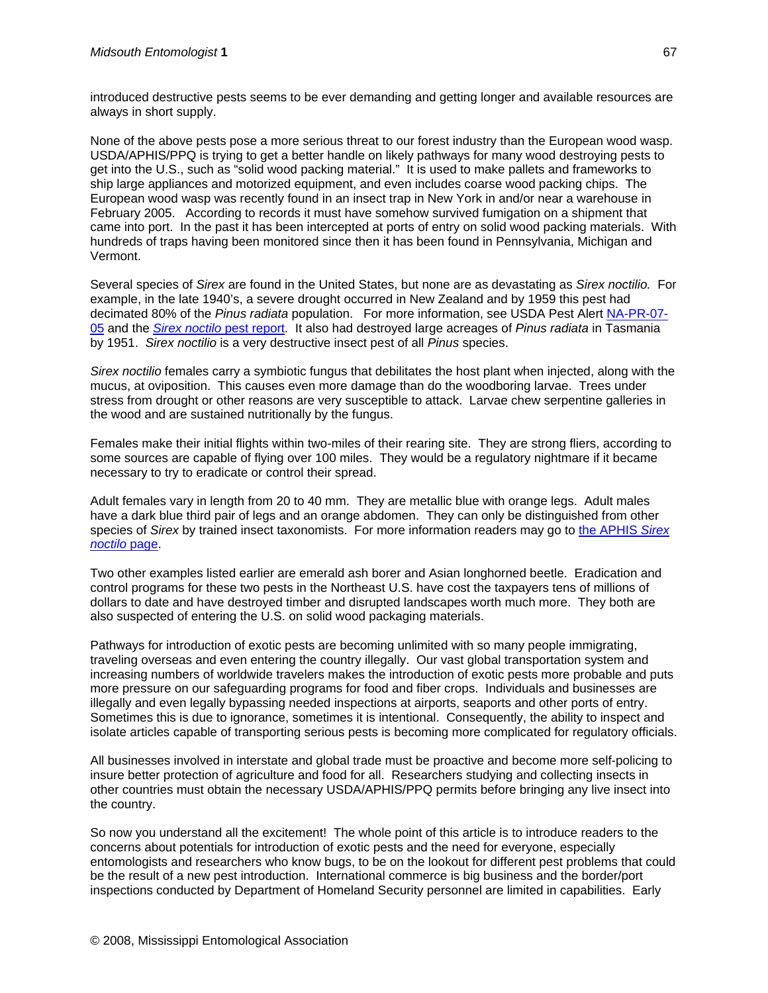introduced destructive pests seems to be ever demanding and getting longer and available resources are always in short supply.

None of the above pests pose a more serious threat to our forest industry than the European wood wasp. USDA/APHIS/PPQ is trying to get a better handle on likely pathways for many wood destroying pests to get into the U.S., such as "solid wood packing material." It is used to make pallets and frameworks to ship large appliances and motorized equipment, and even includes coarse wood packing chips. The European wood wasp was recently found in an insect trap in New York in and/or near a warehouse in February 2005. According to records it must have somehow survived fumigation on a shipment that came into port. In the past it has been intercepted at ports of entry on solid wood packing materials. With hundreds of traps having been monitored since then it has been found in Pennsylvania, Michigan and Vermont.

Several species of *Sirex* are found in the United States, but none are as devastating as *Sirex noctilio.* For example, in the late 1940's, a severe drought occurred in New Zealand and by 1959 this pest had decimated 80% of the *Pinus radiata* population. For more information, see USDA Pest Alert [NA-PR-07-](http://www.na.fs.fed.us/spfo/pubs/pest_al/sirex_woodwasp/sirex_woodwasp.htm) [05](http://www.na.fs.fed.us/spfo/pubs/pest_al/sirex_woodwasp/sirex_woodwasp.htm) and the *[Sirex noctilo](http://www.spfnic.fs.fed.us/exfor/data/pestreports.cfm?pestidval=33&langdisplay=english)* pest report. It also had destroyed large acreages of *Pinus radiata* in Tasmania by 1951. *Sirex noctilio* is a very destructive insect pest of all *Pinus* species.

*Sirex noctilio* females carry a symbiotic fungus that debilitates the host plant when injected, along with the mucus, at oviposition. This causes even more damage than do the woodboring larvae. Trees under stress from drought or other reasons are very susceptible to attack. Larvae chew serpentine galleries in the wood and are sustained nutritionally by the fungus.

Females make their initial flights within two-miles of their rearing site. They are strong fliers, according to some sources are capable of flying over 100 miles. They would be a regulatory nightmare if it became necessary to try to eradicate or control their spread.

Adult females vary in length from 20 to 40 mm. They are metallic blue with orange legs. Adult males have a dark blue third pair of legs and an orange abdomen. They can only be distinguished from other species of *Sirex* by trained insect taxonomists. For more information readers may go to [the APHIS](http://www.aphis.usda.gov/plant_health/plant_pest_info/sirex/index.shtml) *Sirex [noctilo](http://www.aphis.usda.gov/plant_health/plant_pest_info/sirex/index.shtml)* page.

Two other examples listed earlier are emerald ash borer and Asian longhorned beetle. Eradication and control programs for these two pests in the Northeast U.S. have cost the taxpayers tens of millions of dollars to date and have destroyed timber and disrupted landscapes worth much more. They both are also suspected of entering the U.S. on solid wood packaging materials.

Pathways for introduction of exotic pests are becoming unlimited with so many people immigrating, traveling overseas and even entering the country illegally. Our vast global transportation system and increasing numbers of worldwide travelers makes the introduction of exotic pests more probable and puts more pressure on our safeguarding programs for food and fiber crops. Individuals and businesses are illegally and even legally bypassing needed inspections at airports, seaports and other ports of entry. Sometimes this is due to ignorance, sometimes it is intentional. Consequently, the ability to inspect and isolate articles capable of transporting serious pests is becoming more complicated for regulatory officials.

All businesses involved in interstate and global trade must be proactive and become more self-policing to insure better protection of agriculture and food for all. Researchers studying and collecting insects in other countries must obtain the necessary USDA/APHIS/PPQ permits before bringing any live insect into the country.

So now you understand all the excitement! The whole point of this article is to introduce readers to the concerns about potentials for introduction of exotic pests and the need for everyone, especially entomologists and researchers who know bugs, to be on the lookout for different pest problems that could be the result of a new pest introduction. International commerce is big business and the border/port inspections conducted by Department of Homeland Security personnel are limited in capabilities. Early